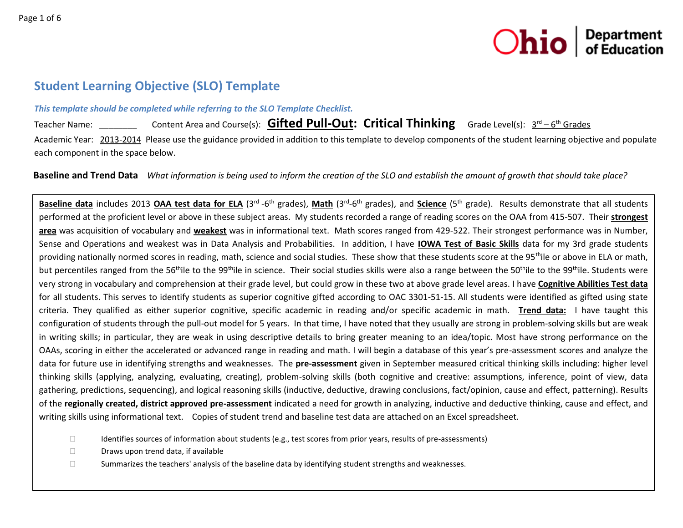

# **Student Learning Objective (SLO) Template**

#### *This template should be completed while referring to the SLO Template Checklist.*

Teacher Name: \_\_\_\_\_\_\_\_\_\_\_\_ Content Area and Course(s): Collective detail **Critical Thinking** Grade Level(s):  $3^{\text{rd}} - 6^{\text{th}}$  Grades Academic Year: 2013-2014 Please use the guidance provided in addition to this template to develop components of the student learning objective and populate each component in the space below.

 **Baseline and Trend Data** *What information is being used to inform the creation of the SLO and establish the amount of growth that should take place?*

Baseline data includes 2013 OAA test data for ELA (3<sup>rd</sup>-6<sup>th</sup> grades), Math (3<sup>rd</sup>-6<sup>th</sup> grades), and Science (5<sup>th</sup> grade). Results demonstrate that all students performed at the proficient level or above in these subject areas. My students recorded a range of reading scores on the OAA from 415-507. Their **strongest area** was acquisition of vocabulary and **weakest** was in informational text. Math scores ranged from 429-522. Their strongest performance was in Number, Sense and Operations and weakest was in Data Analysis and Probabilities. In addition, I have **IOWA Test of Basic Skills** data for my 3rd grade students providing nationally normed scores in reading, math, science and social studies. These show that these students score at the 95<sup>th</sup>ile or above in ELA or math, but percentiles ranged from the 56<sup>th</sup>ile to the 99<sup>th</sup>ile in science. Their social studies skills were also a range between the 50<sup>th</sup>ile to the 99<sup>th</sup>ile. Students were very strong in vocabulary and comprehension at their grade level, but could grow in these two at above grade level areas. I have **Cognitive Abilities Test data** for all students. This serves to identify students as superior cognitive gifted according to OAC 3301-51-15. All students were identified as gifted using state criteria. They qualified as either superior cognitive, specific academic in reading and/or specific academic in math. **Trend data:** I have taught this configuration of students through the pull-out model for 5 years. In that time, I have noted that they usually are strong in problem-solving skills but are weak in writing skills; in particular, they are weak in using descriptive details to bring greater meaning to an idea/topic. Most have strong performance on the OAAs, scoring in either the accelerated or advanced range in reading and math. I will begin a database of this year's pre-assessment scores and analyze the data for future use in identifying strengths and weaknesses. The **pre-assessment** given in September measured critical thinking skills including: higher level thinking skills (applying, analyzing, evaluating, creating), problem-solving skills (both cognitive and creative: assumptions, inference, point of view, data gathering, predictions, sequencing), and logical reasoning skills (inductive, deductive, drawing conclusions, fact/opinion, cause and effect, patterning). Results of the **regionally created, district approved pre-assessment** indicated a need for growth in analyzing, inductive and deductive thinking, cause and effect, and writing skills using informational text. Copies of student trend and baseline test data are attached on an Excel spreadsheet.

- $\Box$  Identifies sources of information about students (e.g., test scores from prior years, results of pre-assessments)
- $\Box$  Draws upon trend data, if available
- $\square$  Summarizes the teachers' analysis of the baseline data by identifying student strengths and weaknesses.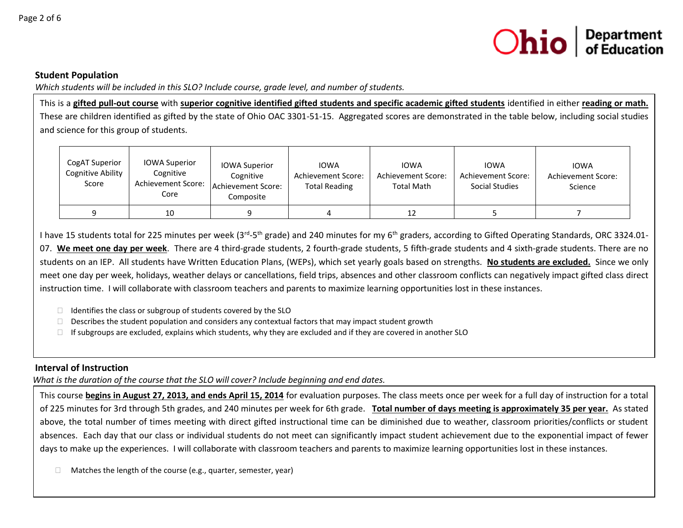

#### **Student Population**

*Which students will be included in this SLO? Include course, grade level, and number of students.*

This is a **gifted pull-out course** with **superior cognitive identified gifted students and specific academic gifted students** identified in either **reading or math.** These are children identified as gifted by the state of Ohio OAC 3301-51-15. Aggregated scores are demonstrated in the table below, including social studies and science for this group of students.

| CogAT Superior<br><b>Cognitive Ability</b><br>Score | <b>IOWA Superior</b><br>Cognitive<br>Achievement Score:<br>Core | <b>IOWA Superior</b><br>Cognitive<br>Achievement Score:<br>Composite | <b>IOWA</b><br>Achievement Score:<br><b>Total Reading</b> | <b>IOWA</b><br>Achievement Score:<br><b>Total Math</b> | <b>IOWA</b><br>Achievement Score:<br>Social Studies | <b>IOWA</b><br>Achievement Score:<br>Science |
|-----------------------------------------------------|-----------------------------------------------------------------|----------------------------------------------------------------------|-----------------------------------------------------------|--------------------------------------------------------|-----------------------------------------------------|----------------------------------------------|
|                                                     | 10                                                              |                                                                      |                                                           | 12                                                     |                                                     |                                              |

I have 15 students total for 225 minutes per week (3<sup>rd</sup>-5<sup>th</sup> grade) and 240 minutes for my 6<sup>th</sup> graders, according to Gifted Operating Standards, ORC 3324.01-07. **We meet one day per week**. There are 4 third-grade students, 2 fourth-grade students, 5 fifth-grade students and 4 sixth-grade students. There are no students on an IEP. All students have Written Education Plans, (WEPs), which set yearly goals based on strengths. **No students are excluded.** Since we only meet one day per week, holidays, weather delays or cancellations, field trips, absences and other classroom conflicts can negatively impact gifted class direct instruction time. I will collaborate with classroom teachers and parents to maximize learning opportunities lost in these instances.

- $\Box$  Identifies the class or subgroup of students covered by the SLO
- $\Box$  Describes the student population and considers any contextual factors that may impact student growth
- $\Box$  If subgroups are excluded, explains which students, why they are excluded and if they are covered in another SLO

## **Interval of Instruction**

*What is the duration of the course that the SLO will cover? Include beginning and end dates.*

This course **begins in August 27, 2013, and ends April 15, 2014** for evaluation purposes. The class meets once per week for a full day of instruction for a total of 225 minutes for 3rd through 5th grades, and 240 minutes per week for 6th grade. **Total number of days meeting is approximately 35 per year.** As stated above, the total number of times meeting with direct gifted instructional time can be diminished due to weather, classroom priorities/conflicts or student absences. Each day that our class or individual students do not meet can significantly impact student achievement due to the exponential impact of fewer days to make up the experiences. I will collaborate with classroom teachers and parents to maximize learning opportunities lost in these instances.

 $\Box$  Matches the length of the course (e.g., quarter, semester, year)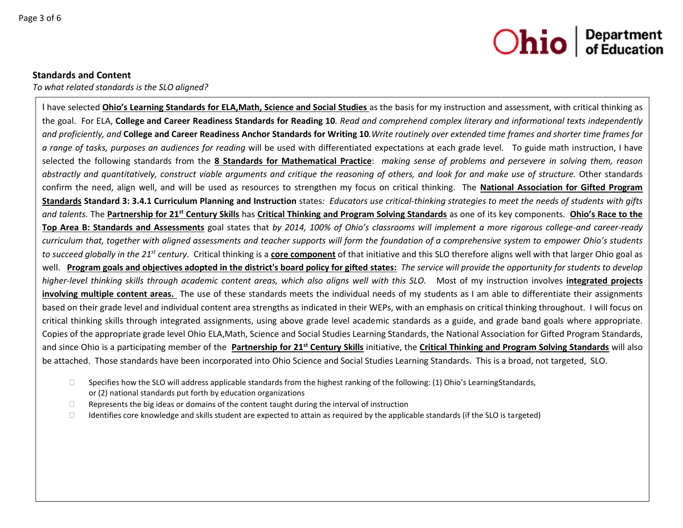

#### **Standards and Content**

*To what related standards is the SLO aligned?* 

I have selected **Ohio's Learning Standards for ELA,Math, Science and Social Studies** as the basis for my instruction and assessment, with critical thinking as the goal. For ELA, **College and Career Readiness Standards for Reading 10***. Read and comprehend complex literary and informational texts independently and proficiently, and* **College and Career Readiness Anchor Standards for Writing 10***.Write routinely over extended time frames and shorter time frames for a range of tasks, purposes an audiences for reading* will be used with differentiated expectations at each grade level. To guide math instruction, I have selected the following standards from the **8 Standards for Mathematical Practice**: *making sense of problems and persevere in solving them, reason abstractly and quantitatively, construct viable arguments and critique the reasoning of others, and look for and make use of structure.* Other standards confirm the need, align well, and will be used as resources to strengthen my focus on critical thinking. The **National Association for Gifted Program Standards Standard 3: 3.4.1 Curriculum Planning and Instruction** states*: Educators use critical-thinking strategies to meet the needs of students with gifts and talents.* The **Partnership for 21st Century Skills** has **Critical Thinking and Program Solving Standards** as one of its key components. **Ohio's Race to the Top Area B: Standards and Assessments** goal states that *by 2014, 100% of Ohio's classrooms will implement a more rigorous college-and career-ready curriculum that, together with aligned assessments and teacher supports will form the foundation of a comprehensive system to empower Ohio's students to succeed globally in the 21st century*. Critical thinking is a **core component** of that initiative and this SLO therefore aligns well with that larger Ohio goal as well. **Program goals and objectives adopted in the district's board policy for gifted states:** *The service will provide the opportunity for students to develop higher-level thinking skills through academic content areas, which also aligns well with this SLO.* Most of my instruction involves **integrated projects involving multiple content areas.** The use of these standards meets the individual needs of my students as I am able to differentiate their assignments based on their grade level and individual content area strengths as indicated in their WEPs, with an emphasis on critical thinking throughout. I will focus on critical thinking skills through integrated assignments, using above grade level academic standards as a guide, and grade band goals where appropriate. Copies of the appropriate grade level Ohio ELA,Math, Science and Social Studies Learning Standards, the National Association for Gifted Program Standards, and since Ohio is a participating member of the **Partnership for 21st Century Skills** initiative, the **Critical Thinking and Program Solving Standards** will also be attached. Those standards have been incorporated into Ohio Science and Social Studies Learning Standards. This is a broad, not targeted, SLO.

- $\square$  Specifies how the SLO will address applicable standards from the highest ranking of the following: (1) Ohio's LearningStandards, or (2) national standards put forth by education organizations
- $\Box$  Represents the big ideas or domains of the content taught during the interval of instruction
- $\Box$  Identifies core knowledge and skills student are expected to attain as required by the applicable standards (if the SLO is targeted)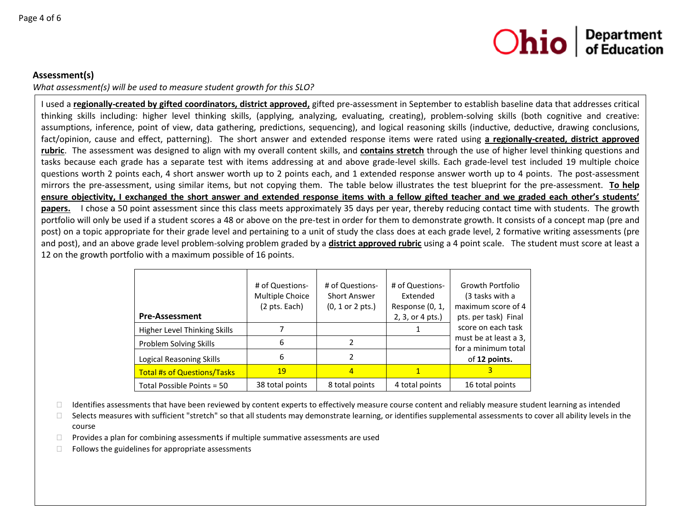

# **Assessment(s)**

*What assessment(s) will be used to measure student growth for this SLO?*

I used a **regionally-created by gifted coordinators, district approved,** gifted pre-assessment in September to establish baseline data that addresses critical thinking skills including: higher level thinking skills, (applying, analyzing, evaluating, creating), problem-solving skills (both cognitive and creative: assumptions, inference, point of view, data gathering, predictions, sequencing), and logical reasoning skills (inductive, deductive, drawing conclusions, fact/opinion, cause and effect, patterning). The short answer and extended response items were rated using **a regionally-created, district approved rubric**. The assessment was designed to align with my overall content skills, and **contains stretch** through the use of higher level thinking questions and tasks because each grade has a separate test with items addressing at and above grade-level skills. Each grade-level test included 19 multiple choice questions worth 2 points each, 4 short answer worth up to 2 points each, and 1 extended response answer worth up to 4 points. The post-assessment mirrors the pre-assessment, using similar items, but not copying them. The table below illustrates the test blueprint for the pre-assessment. **To help ensure objectivity, I exchanged the short answer and extended response items with a fellow gifted teacher and we graded each other's students'**  papers. I chose a 50 point assessment since this class meets approximately 35 days per year, thereby reducing contact time with students. The growth portfolio will only be used if a student scores a 48 or above on the pre-test in order for them to demonstrate growth. It consists of a concept map (pre and post) on a topic appropriate for their grade level and pertaining to a unit of study the class does at each grade level, 2 formative writing assessments (pre and post), and an above grade level problem-solving problem graded by a **district approved rubric** using a 4 point scale. The student must score at least a 12 on the growth portfolio with a maximum possible of 16 points.

|                                    | # of Questions-<br>Multiple Choice<br>(2 pts. Each) | # of Questions-<br><b>Short Answer</b><br>$(0, 1 \text{ or } 2 \text{ pts.})$ | # of Questions-<br>Extended<br>Response (0, 1, | Growth Portfolio<br>(3 tasks with a<br>maximum score of 4 |
|------------------------------------|-----------------------------------------------------|-------------------------------------------------------------------------------|------------------------------------------------|-----------------------------------------------------------|
| <b>Pre-Assessment</b>              |                                                     |                                                                               | 2, 3, or 4 pts.)                               | pts. per task) Final                                      |
| Higher Level Thinking Skills       |                                                     |                                                                               |                                                | score on each task                                        |
| Problem Solving Skills             | 6                                                   |                                                                               |                                                | must be at least a 3,                                     |
| Logical Reasoning Skills           | 6                                                   |                                                                               |                                                | for a minimum total<br>of 12 points.                      |
| <b>Total #s of Questions/Tasks</b> | 19                                                  | $\overline{4}$                                                                |                                                |                                                           |
| Total Possible Points = 50         | 38 total points                                     | 8 total points                                                                | 4 total points                                 | 16 total points                                           |

Identifies assessments that have been reviewed by content experts to effectively measure course content and reliably measure student learning as intended

 $\square$  Selects measures with sufficient "stretch" so that all students may demonstrate learning, or identifies supplemental assessments to cover all ability levels in the course

 $\Box$  Provides a plan for combining assessments if multiple summative assessments are used

 $\Box$  Follows the guidelines for appropriate assessments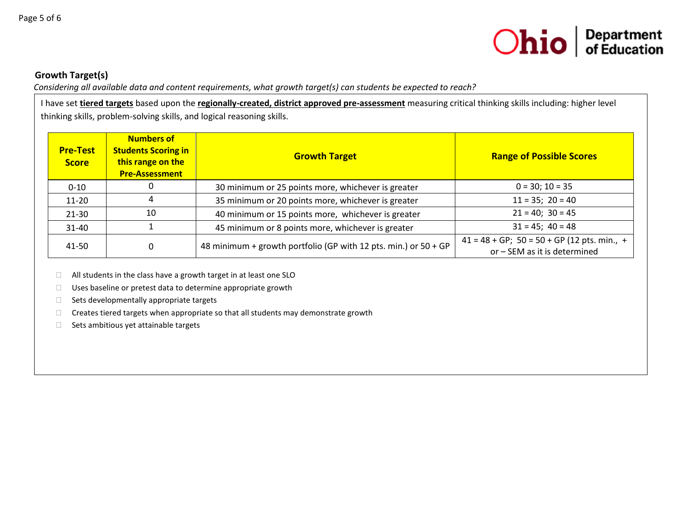

# **Growth Target(s)**

*Considering all available data and content requirements, what growth target(s) can students be expected to reach?*

I have set **tiered targets** based upon the **regionally-created, district approved pre-assessment** measuring critical thinking skills including: higher level thinking skills, problem-solving skills, and logical reasoning skills.

| <b>Pre-Test</b><br><b>Score</b> | <b>Numbers of</b><br><b>Students Scoring in</b><br><b>Growth Target</b><br>this range on the<br><b>Pre-Assessment</b> |                                                                 | <b>Range of Possible Scores</b>                                                  |  |  |
|---------------------------------|-----------------------------------------------------------------------------------------------------------------------|-----------------------------------------------------------------|----------------------------------------------------------------------------------|--|--|
| $0 - 10$                        |                                                                                                                       | 30 minimum or 25 points more, whichever is greater              | $0 = 30; 10 = 35$                                                                |  |  |
| $11 - 20$                       |                                                                                                                       | 35 minimum or 20 points more, whichever is greater              | $11 = 35$ ; $20 = 40$                                                            |  |  |
| 21-30                           | 10                                                                                                                    | 40 minimum or 15 points more, whichever is greater              | $21 = 40$ ; $30 = 45$                                                            |  |  |
| $31 - 40$                       |                                                                                                                       | 45 minimum or 8 points more, whichever is greater               | $31 = 45$ ; $40 = 48$                                                            |  |  |
| 41-50<br>0                      |                                                                                                                       | 48 minimum + growth portfolio (GP with 12 pts. min.) or 50 + GP | $41 = 48 + GP$ ; $50 = 50 + GP$ (12 pts. min., +<br>or - SEM as it is determined |  |  |

□ All students in the class have a growth target in at least one SLO

□ Uses baseline or pretest data to determine appropriate growth

 $\Box$  Sets developmentally appropriate targets

 $\Box$  Creates tiered targets when appropriate so that all students may demonstrate growth

 $\Box$  Sets ambitious yet attainable targets